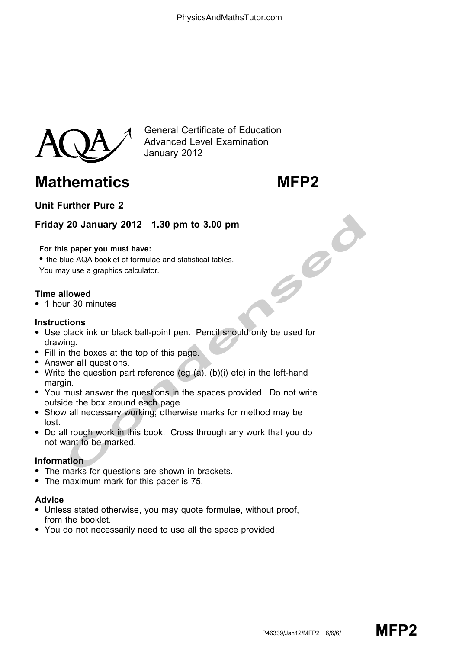

General Certificate of Education Advanced Level Examination January 2012

# Mathematics MFP2

# Unit Further Pure 2

## Friday 20 January 2012 1.30 pm to 3.00 pm

#### For this paper you must have:

• the blue AQA booklet of formulae and statistical tables. You may use a graphics calculator.

#### Time allowed

\* 1 hour 30 minutes

#### **Instructions**

- 20 January 2012 1.30 pm to 3.00 pm<br>
s paper you must have:<br>
lue AQA booklet of formulae and statistical tables.<br>
you we a graphics calculator.<br>
Ilowed<br>
ur 30 minutes<br>
ur 30 minutes<br>
ur 30 minutes<br>
ur all questions.<br>
the q • Use black ink or black ball-point pen. Pencil should only be used for drawing.
- Fill in the boxes at the top of this page.
- Answer all questions.
- Write the question part reference (eg  $(a)$ ,  $(b)(i)$  etc) in the left-hand margin.
- \* You must answer the questions in the spaces provided. Do not write outside the box around each page.
- \* Show all necessary working; otherwise marks for method may be lost.
- \* Do all rough work in this book. Cross through any work that you do not want to be marked.

#### Information

- The marks for questions are shown in brackets.
- The maximum mark for this paper is 75.

### Advice

- Unless stated otherwise, you may quote formulae, without proof, from the booklet.
- \* You do not necessarily need to use all the space provided.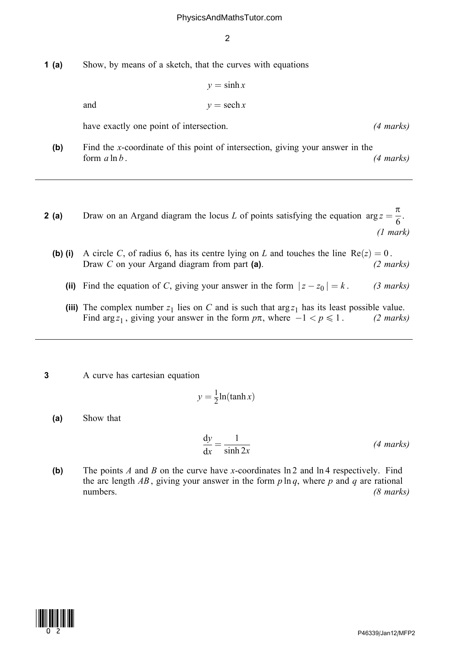#### PhysicsAndMathsTutor.com

2

1 (a) Show, by means of a sketch, that the curves with equations

$$
y = \sinh x
$$
  
and  

$$
y = \operatorname{sech} x
$$

have exactly one point of intersection. (4 marks)

- (b) Find the x-coordinate of this point of intersection, giving your answer in the form  $a \ln b$ . (4 marks)
- **2 (a)** Draw on an Argand diagram the locus L of points satisfying the equation  $\arg z = \frac{\pi}{6}$ . (1 mark)
	- (b) (i) A circle C, of radius 6, has its centre lying on L and touches the line  $Re(z) = 0$ . Draw C on your Argand diagram from part (a). (2 marks)
		- (ii) Find the equation of C, giving your answer in the form  $|z z_0| = k$ . (3 marks)
		- (iii) The complex number  $z_1$  lies on C and is such that  $\arg z_1$  has its least possible value.<br>Find  $\arg z_1$ , giving your answer in the form  $p\pi$ , where  $-1 < p \le 1$ . (2 marks) Find arg  $z_1$ , giving your answer in the form  $p\pi$ , where  $-1 < p \le 1$ . (2 marks)
- 3 A curve has cartesian equation

$$
y = \frac{1}{2} \ln(\tanh x)
$$

(a) Show that

$$
\frac{dy}{dx} = \frac{1}{\sinh 2x}
$$
 (4 marks)

(b) The points A and B on the curve have x-coordinates  $\ln 2$  and  $\ln 4$  respectively. Find the arc length  $AB$ , giving your answer in the form  $p \ln q$ , where  $p$  and  $q$  are rational numbers. (8 marks)

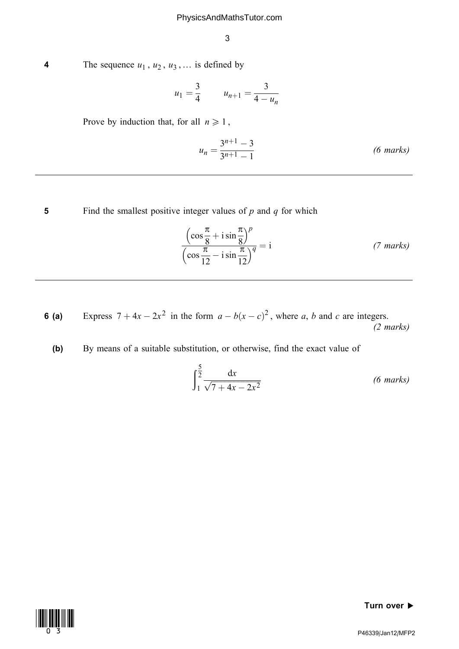4 The sequence  $u_1$ ,  $u_2$ ,  $u_3$ , ... is defined by

$$
u_1 = \frac{3}{4} \qquad u_{n+1} = \frac{3}{4 - u_n}
$$

Prove by induction that, for all  $n \geq 1$ ,

$$
u_n = \frac{3^{n+1} - 3}{3^{n+1} - 1}
$$
 (6 marks)

5 Find the smallest positive integer values of  $p$  and  $q$  for which

$$
\frac{\left(\cos\frac{\pi}{8} + i\sin\frac{\pi}{8}\right)^p}{\left(\cos\frac{\pi}{12} - i\sin\frac{\pi}{12}\right)^q} = i
$$
\n(7 marks)

**6 (a)** Express  $7 + 4x - 2x^2$  in the form  $a - b(x - c)^2$ , where a, b and c are integers.  $(2 \text{ marks})$ 

(b) By means of a suitable substitution, or otherwise, find the exact value of

$$
\int_{1}^{\frac{5}{2}} \frac{\mathrm{d}x}{\sqrt{7+4x-2x^2}} \tag{6 marks}
$$



Turn over  $\blacktriangleright$